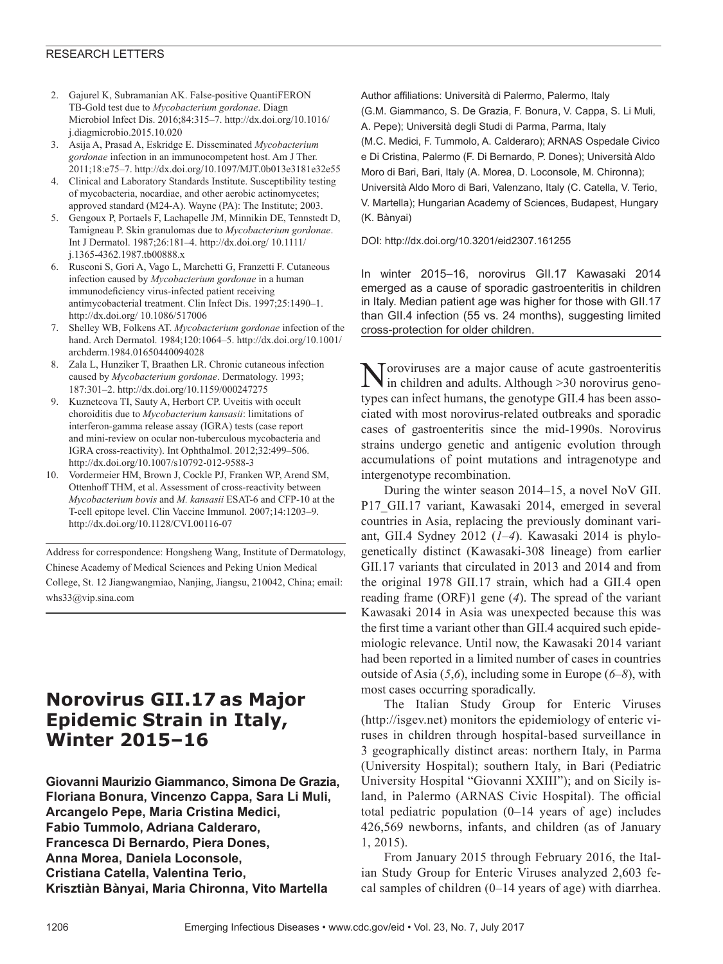### RESEARCH LETTERS

- 2. Gajurel K, Subramanian AK. False-positive QuantiFERON TB-Gold test due to *Mycobacterium gordonae*. Diagn Microbiol Infect Dis. 2016;84:315–7. http://dx.doi.org/10.1016/ j.diagmicrobio.2015.10.020
- 3. Asija A, Prasad A, Eskridge E. Disseminated *Mycobacterium gordonae* infection in an immunocompetent host. Am J Ther. 2011;18:e75–7. http://dx.doi.org/10.1097/MJT.0b013e3181e32e55
- 4. Clinical and Laboratory Standards Institute. Susceptibility testing of mycobacteria, nocardiae, and other aerobic actinomycetes; approved standard (M24-A). Wayne (PA): The Institute; 2003.
- 5. Gengoux P, Portaels F, Lachapelle JM, Minnikin DE, Tennstedt D, Tamigneau P. Skin granulomas due to *Mycobacterium gordonae*. Int J Dermatol. 1987;26:181–4. http://dx.doi.org/ 10.1111/ j.1365-4362.1987.tb00888.x
- 6. Rusconi S, Gori A, Vago L, Marchetti G, Franzetti F. Cutaneous infection caused by *Mycobacterium gordonae* in a human immunodeficiency virus-infected patient receiving antimycobacterial treatment. Clin Infect Dis. 1997;25:1490–1. http://dx.doi.org/ 10.1086/517006
- 7. Shelley WB, Folkens AT. *Mycobacterium gordonae* infection of the hand. Arch Dermatol. 1984;120:1064–5. http://dx.doi.org/10.1001/ archderm.1984.01650440094028
- 8. Zala L, Hunziker T, Braathen LR. Chronic cutaneous infection caused by *Mycobacterium gordonae*. Dermatology. 1993; 187:301–2. http://dx.doi.org/10.1159/000247275
- 9. Kuznetcova TI, Sauty A, Herbort CP. Uveitis with occult choroiditis due to *Mycobacterium kansasii*: limitations of interferon-gamma release assay (IGRA) tests (case report and mini-review on ocular non-tuberculous mycobacteria and IGRA cross-reactivity). Int Ophthalmol. 2012;32:499–506. http://dx.doi.org/10.1007/s10792-012-9588-3
- 10. Vordermeier HM, Brown J, Cockle PJ, Franken WP, Arend SM, Ottenhoff THM, et al. Assessment of cross-reactivity between *Mycobacterium bovis* and *M. kansasii* ESAT-6 and CFP-10 at the T-cell epitope level. Clin Vaccine Immunol. 2007;14:1203–9. http://dx.doi.org/10.1128/CVI.00116-07

Address for correspondence: Hongsheng Wang, Institute of Dermatology, Chinese Academy of Medical Sciences and Peking Union Medical College, St. 12 Jiangwangmiao, Nanjing, Jiangsu, 210042, China; email: whs33@vip.sina.com

# **Norovirus GII.17 as Major Epidemic Strain in Italy, Winter 2015–16**

**Giovanni Maurizio Giammanco, Simona De Grazia, Floriana Bonura, Vincenzo Cappa, Sara Li Muli, Arcangelo Pepe, Maria Cristina Medici, Fabio Tummolo, Adriana Calderaro, Francesca Di Bernardo, Piera Dones, Anna Morea, Daniela Loconsole, Cristiana Catella, Valentina Terio, Krisztiàn Bànyai, Maria Chironna, Vito Martella**

Author affiliations: Università di Palermo, Palermo, Italy (G.M. Giammanco, S. De Grazia, F. Bonura, V. Cappa, S. Li Muli, A. Pepe); Università degli Studi di Parma, Parma, Italy (M.C. Medici, F. Tummolo, A. Calderaro); ARNAS Ospedale Civico e Di Cristina, Palermo (F. Di Bernardo, P. Dones); Università Aldo Moro di Bari, Bari, Italy (A. Morea, D. Loconsole, M. Chironna); Università Aldo Moro di Bari, Valenzano, Italy (C. Catella, V. Terio, V. Martella); Hungarian Academy of Sciences, Budapest, Hungary (K. Bànyai)

DOI: http://dx.doi.org/10.3201/eid2307.161255

In winter 2015–16, norovirus GII.17 Kawasaki 2014 emerged as a cause of sporadic gastroenteritis in children in Italy. Median patient age was higher for those with GII.17 than GII.4 infection (55 vs. 24 months), suggesting limited cross-protection for older children.

Toroviruses are a major cause of acute gastroenteritis in children and adults. Although >30 norovirus genotypes can infect humans, the genotype GII.4 has been associated with most norovirus-related outbreaks and sporadic cases of gastroenteritis since the mid-1990s. Norovirus strains undergo genetic and antigenic evolution through accumulations of point mutations and intragenotype and intergenotype recombination.

During the winter season 2014–15, a novel NoV GII. P17 GII.17 variant, Kawasaki 2014, emerged in several countries in Asia, replacing the previously dominant variant, GII.4 Sydney 2012 (*1–4*). Kawasaki 2014 is phylogenetically distinct (Kawasaki-308 lineage) from earlier GII.17 variants that circulated in 2013 and 2014 and from the original 1978 GII.17 strain, which had a GII.4 open reading frame (ORF)1 gene (*4*). The spread of the variant Kawasaki 2014 in Asia was unexpected because this was the first time a variant other than GII.4 acquired such epidemiologic relevance. Until now, the Kawasaki 2014 variant had been reported in a limited number of cases in countries outside of Asia (*5*,*6*), including some in Europe (*6*–*8*), with most cases occurring sporadically.

The Italian Study Group for Enteric Viruses (http://isgev.net) monitors the epidemiology of enteric viruses in children through hospital-based surveillance in 3 geographically distinct areas: northern Italy, in Parma (University Hospital); southern Italy, in Bari (Pediatric University Hospital "Giovanni XXIII"); and on Sicily island, in Palermo (ARNAS Civic Hospital). The official total pediatric population (0–14 years of age) includes 426,569 newborns, infants, and children (as of January 1, 2015).

From January 2015 through February 2016, the Italian Study Group for Enteric Viruses analyzed 2,603 fecal samples of children (0–14 years of age) with diarrhea.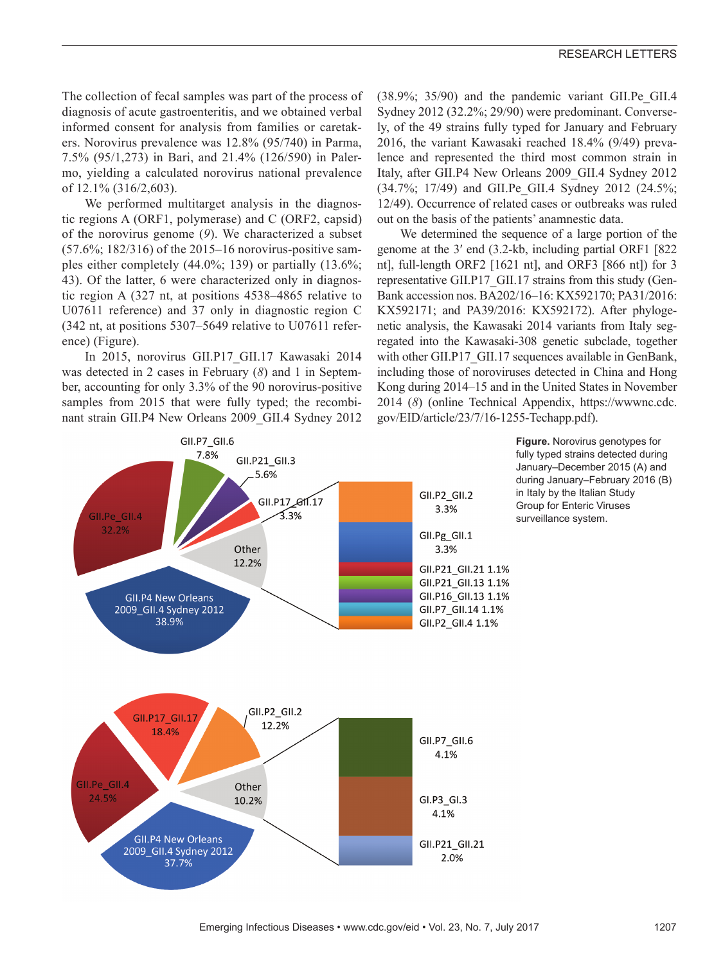The collection of fecal samples was part of the process of diagnosis of acute gastroenteritis, and we obtained verbal informed consent for analysis from families or caretakers. Norovirus prevalence was 12.8% (95/740) in Parma, 7.5% (95/1,273) in Bari, and 21.4% (126/590) in Palermo, yielding a calculated norovirus national prevalence of 12.1% (316/2,603).

We performed multitarget analysis in the diagnostic regions A (ORF1, polymerase) and C (ORF2, capsid) of the norovirus genome (*9*). We characterized a subset (57.6%; 182/316) of the 2015–16 norovirus-positive samples either completely (44.0%; 139) or partially (13.6%; 43). Of the latter, 6 were characterized only in diagnostic region A (327 nt, at positions 4538–4865 relative to U07611 reference) and 37 only in diagnostic region C (342 nt, at positions 5307–5649 relative to U07611 reference) (Figure).

In 2015, norovirus GII.P17\_GII.17 Kawasaki 2014 was detected in 2 cases in February (*8*) and 1 in September, accounting for only 3.3% of the 90 norovirus-positive samples from 2015 that were fully typed; the recombinant strain GII.P4 New Orleans 2009\_GII.4 Sydney 2012

 $(38.9\%; 35/90)$  and the pandemic variant GII.Pe GII.4 Sydney 2012 (32.2%; 29/90) were predominant. Conversely, of the 49 strains fully typed for January and February 2016, the variant Kawasaki reached 18.4% (9/49) prevalence and represented the third most common strain in Italy, after GII.P4 New Orleans 2009\_GII.4 Sydney 2012 (34.7%; 17/49) and GII.Pe\_GII.4 Sydney 2012 (24.5%; 12/49). Occurrence of related cases or outbreaks was ruled out on the basis of the patients' anamnestic data.

We determined the sequence of a large portion of the genome at the 3′ end (3.2-kb, including partial ORF1 [822 nt], full-length ORF2 [1621 nt], and ORF3 [866 nt]) for 3 representative GII.P17\_GII.17 strains from this study (Gen-Bank accession nos. BA202/16–16: KX592170; PA31/2016: KX592171; and PA39/2016: KX592172). After phylogenetic analysis, the Kawasaki 2014 variants from Italy segregated into the Kawasaki-308 genetic subclade, together with other GII.P17 GII.17 sequences available in GenBank, including those of noroviruses detected in China and Hong Kong during 2014–15 and in the United States in November 2014 (*8*) (online Technical Appendix, https://wwwnc.cdc. gov/EID/article/23/7/16-1255-Techapp.pdf).



**Figure.** Norovirus genotypes for fully typed strains detected during January–December 2015 (A) and during January–February 2016 (B) in Italy by the Italian Study Group for Enteric Viruses surveillance system.